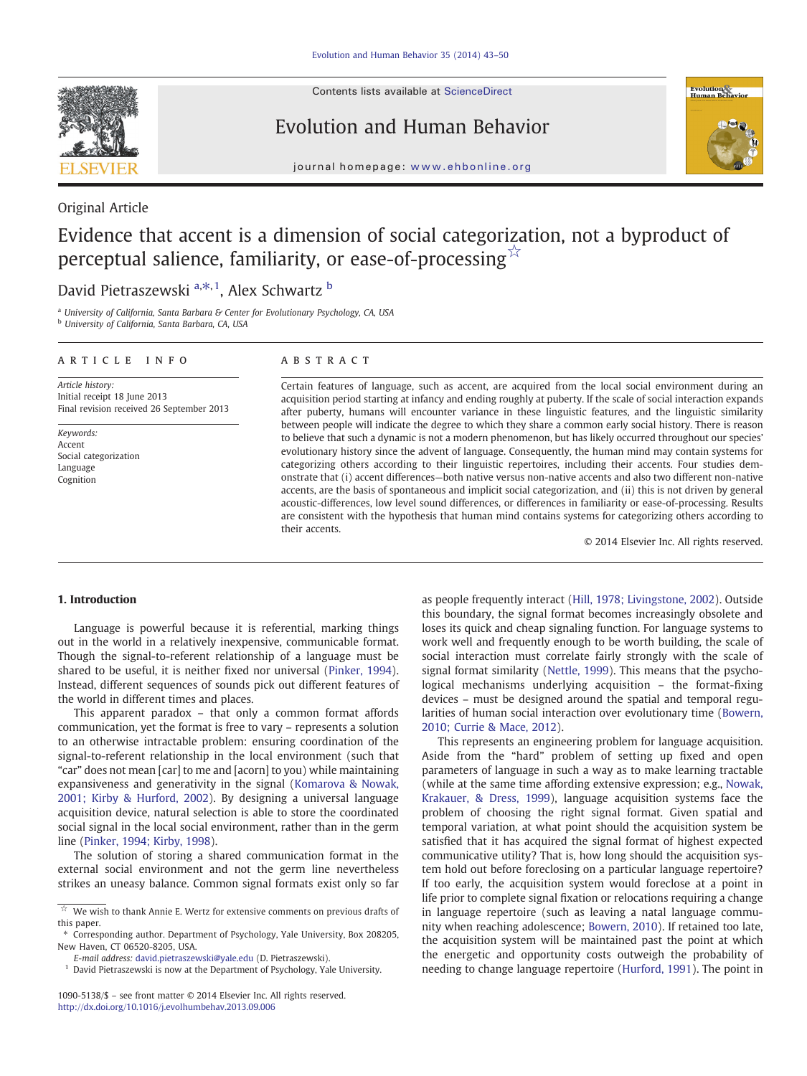

Contents lists available at ScienceDirect

Evolution and Human Behavior



journal homepage: www.ehbonline.org

# Original Article

# Evidence that accent is a dimension of social categorization, not a byproduct of perceptual salience, familiarity, or ease-of-processing  $\frac{1}{2}$

# David Pietraszewski <sup>a, $\ast,1$ </sup>, Alex Schwartz <sup>b</sup>

<sup>a</sup> University of California, Santa Barbara & Center for Evolutionary Psychology, CA, USA

<sup>b</sup> University of California, Santa Barbara, CA, USA

# article info abstract

Article history: Initial receipt 18 June 2013 Final revision received 26 September 2013

Keywords: Accent Social categorization Language Cognition

Certain features of language, such as accent, are acquired from the local social environment during an acquisition period starting at infancy and ending roughly at puberty. If the scale of social interaction expands after puberty, humans will encounter variance in these linguistic features, and the linguistic similarity between people will indicate the degree to which they share a common early social history. There is reason to believe that such a dynamic is not a modern phenomenon, but has likely occurred throughout our species' evolutionary history since the advent of language. Consequently, the human mind may contain systems for categorizing others according to their linguistic repertoires, including their accents. Four studies demonstrate that (i) accent differences—both native versus non-native accents and also two different non-native accents, are the basis of spontaneous and implicit social categorization, and (ii) this is not driven by general acoustic-differences, low level sound differences, or differences in familiarity or ease-of-processing. Results are consistent with the hypothesis that human mind contains systems for categorizing others according to their accents.

© 2014 Elsevier Inc. All rights reserved.

# 1. Introduction

Language is powerful because it is referential, marking things out in the world in a relatively inexpensive, communicable format. Though the signal-to-referent relationship of a language must be shared to be useful, it is neither fixed nor universal ([Pinker, 1994](#page-7-0)). Instead, different sequences of sounds pick out different features of the world in different times and places.

This apparent paradox – that only a common format affords communication, yet the format is free to vary – represents a solution to an otherwise intractable problem: ensuring coordination of the signal-to-referent relationship in the local environment (such that "car" does not mean [car] to me and [acorn] to you) while maintaining expansiveness and generativity in the signal ([Komarova & Nowak,](#page-7-0) [2001; Kirby & Hurford, 2002\)](#page-7-0). By designing a universal language acquisition device, natural selection is able to store the coordinated social signal in the local social environment, rather than in the germ line [\(Pinker, 1994; Kirby, 1998\)](#page-7-0).

The solution of storing a shared communication format in the external social environment and not the germ line nevertheless strikes an uneasy balance. Common signal formats exist only so far

as people frequently interact [\(Hill, 1978; Livingstone, 2002\)](#page-7-0). Outside this boundary, the signal format becomes increasingly obsolete and loses its quick and cheap signaling function. For language systems to work well and frequently enough to be worth building, the scale of social interaction must correlate fairly strongly with the scale of signal format similarity ([Nettle, 1999](#page-7-0)). This means that the psychological mechanisms underlying acquisition – the format-fixing devices – must be designed around the spatial and temporal regularities of human social interaction over evolutionary time ([Bowern,](#page-7-0) [2010; Currie & Mace, 2012\)](#page-7-0).

This represents an engineering problem for language acquisition. Aside from the "hard" problem of setting up fixed and open parameters of language in such a way as to make learning tractable (while at the same time affording extensive expression; e.g., [Nowak,](#page-7-0) [Krakauer, & Dress, 1999\)](#page-7-0), language acquisition systems face the problem of choosing the right signal format. Given spatial and temporal variation, at what point should the acquisition system be satisfied that it has acquired the signal format of highest expected communicative utility? That is, how long should the acquisition system hold out before foreclosing on a particular language repertoire? If too early, the acquisition system would foreclose at a point in life prior to complete signal fixation or relocations requiring a change in language repertoire (such as leaving a natal language community when reaching adolescence; [Bowern, 2010\)](#page-7-0). If retained too late, the acquisition system will be maintained past the point at which the energetic and opportunity costs outweigh the probability of needing to change language repertoire ([Hurford, 1991](#page-7-0)). The point in

 $\overrightarrow{x}$  We wish to thank Annie E. Wertz for extensive comments on previous drafts of this paper.

<sup>⁎</sup> Corresponding author. Department of Psychology, Yale University, Box 208205, New Haven, CT 06520-8205, USA.

E-mail address: [david.pietraszewski@yale.edu](mailto:david.pietraszewski@yale.edu) (D. Pietraszewski).

<sup>&</sup>lt;sup>1</sup> David Pietraszewski is now at the Department of Psychology, Yale University.

<sup>1090-5138/\$</sup> – see front matter © 2014 Elsevier Inc. All rights reserved. <http://dx.doi.org/10.1016/j.evolhumbehav.2013.09.006>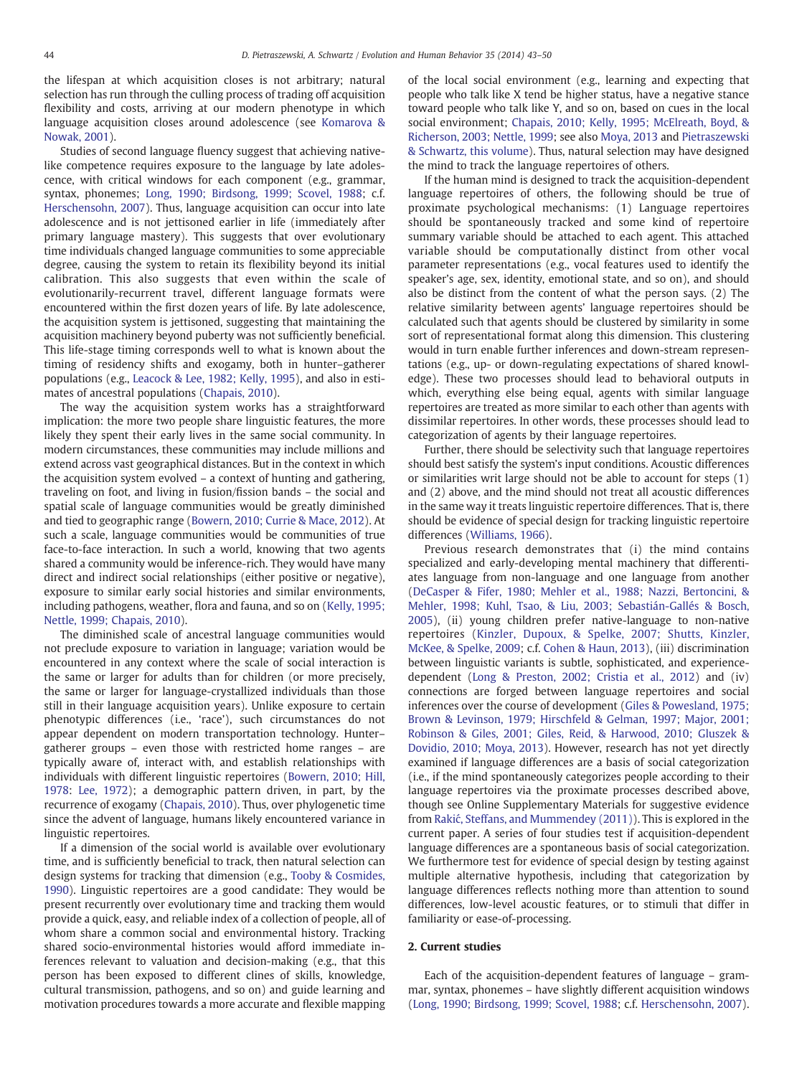the lifespan at which acquisition closes is not arbitrary; natural selection has run through the culling process of trading off acquisition flexibility and costs, arriving at our modern phenotype in which language acquisition closes around adolescence (see [Komarova &](#page-7-0) [Nowak, 2001](#page-7-0)).

Studies of second language fluency suggest that achieving nativelike competence requires exposure to the language by late adolescence, with critical windows for each component (e.g., grammar, syntax, phonemes; [Long, 1990; Birdsong, 1999; Scovel, 1988;](#page-7-0) c.f. [Herschensohn, 2007\)](#page-7-0). Thus, language acquisition can occur into late adolescence and is not jettisoned earlier in life (immediately after primary language mastery). This suggests that over evolutionary time individuals changed language communities to some appreciable degree, causing the system to retain its flexibility beyond its initial calibration. This also suggests that even within the scale of evolutionarily-recurrent travel, different language formats were encountered within the first dozen years of life. By late adolescence, the acquisition system is jettisoned, suggesting that maintaining the acquisition machinery beyond puberty was not sufficiently beneficial. This life-stage timing corresponds well to what is known about the timing of residency shifts and exogamy, both in hunter–gatherer populations (e.g., [Leacock & Lee, 1982; Kelly, 1995](#page-7-0)), and also in estimates of ancestral populations [\(Chapais, 2010\)](#page-7-0).

The way the acquisition system works has a straightforward implication: the more two people share linguistic features, the more likely they spent their early lives in the same social community. In modern circumstances, these communities may include millions and extend across vast geographical distances. But in the context in which the acquisition system evolved – a context of hunting and gathering, traveling on foot, and living in fusion/fission bands – the social and spatial scale of language communities would be greatly diminished and tied to geographic range ([Bowern, 2010; Currie & Mace, 2012](#page-7-0)). At such a scale, language communities would be communities of true face-to-face interaction. In such a world, knowing that two agents shared a community would be inference-rich. They would have many direct and indirect social relationships (either positive or negative), exposure to similar early social histories and similar environments, including pathogens, weather, flora and fauna, and so on ([Kelly, 1995;](#page-7-0) [Nettle, 1999; Chapais, 2010\)](#page-7-0).

The diminished scale of ancestral language communities would not preclude exposure to variation in language; variation would be encountered in any context where the scale of social interaction is the same or larger for adults than for children (or more precisely, the same or larger for language-crystallized individuals than those still in their language acquisition years). Unlike exposure to certain phenotypic differences (i.e., 'race'), such circumstances do not appear dependent on modern transportation technology. Hunter– gatherer groups – even those with restricted home ranges – are typically aware of, interact with, and establish relationships with individuals with different linguistic repertoires [\(Bowern, 2010; Hill,](#page-7-0) [1978:](#page-7-0) [Lee, 1972](#page-7-0)); a demographic pattern driven, in part, by the recurrence of exogamy [\(Chapais, 2010](#page-7-0)). Thus, over phylogenetic time since the advent of language, humans likely encountered variance in linguistic repertoires.

If a dimension of the social world is available over evolutionary time, and is sufficiently beneficial to track, then natural selection can design systems for tracking that dimension (e.g., [Tooby & Cosmides,](#page-7-0) [1990\)](#page-7-0). Linguistic repertoires are a good candidate: They would be present recurrently over evolutionary time and tracking them would provide a quick, easy, and reliable index of a collection of people, all of whom share a common social and environmental history. Tracking shared socio-environmental histories would afford immediate inferences relevant to valuation and decision-making (e.g., that this person has been exposed to different clines of skills, knowledge, cultural transmission, pathogens, and so on) and guide learning and motivation procedures towards a more accurate and flexible mapping of the local social environment (e.g., learning and expecting that people who talk like X tend be higher status, have a negative stance toward people who talk like Y, and so on, based on cues in the local social environment; [Chapais, 2010; Kelly, 1995; McElreath, Boyd, &](#page-7-0) [Richerson, 2003; Nettle, 1999](#page-7-0); see also [Moya, 2013](#page-7-0) and [Pietraszewski](#page-7-0) [& Schwartz, this volume\)](#page-7-0). Thus, natural selection may have designed the mind to track the language repertoires of others.

If the human mind is designed to track the acquisition-dependent language repertoires of others, the following should be true of proximate psychological mechanisms: (1) Language repertoires should be spontaneously tracked and some kind of repertoire summary variable should be attached to each agent. This attached variable should be computationally distinct from other vocal parameter representations (e.g., vocal features used to identify the speaker's age, sex, identity, emotional state, and so on), and should also be distinct from the content of what the person says. (2) The relative similarity between agents' language repertoires should be calculated such that agents should be clustered by similarity in some sort of representational format along this dimension. This clustering would in turn enable further inferences and down-stream representations (e.g., up- or down-regulating expectations of shared knowledge). These two processes should lead to behavioral outputs in which, everything else being equal, agents with similar language repertoires are treated as more similar to each other than agents with dissimilar repertoires. In other words, these processes should lead to categorization of agents by their language repertoires.

Further, there should be selectivity such that language repertoires should best satisfy the system's input conditions. Acoustic differences or similarities writ large should not be able to account for steps (1) and (2) above, and the mind should not treat all acoustic differences in the same way it treats linguistic repertoire differences. That is, there should be evidence of special design for tracking linguistic repertoire differences [\(Williams, 1966\)](#page-7-0).

Previous research demonstrates that (i) the mind contains specialized and early-developing mental machinery that differentiates language from non-language and one language from another ([DeCasper & Fifer, 1980; Mehler et al., 1988; Nazzi, Bertoncini, &](#page-7-0) [Mehler, 1998; Kuhl, Tsao, & Liu, 2003; Sebastián-Gallés & Bosch,](#page-7-0) [2005\)](#page-7-0), (ii) young children prefer native-language to non-native repertoires ([Kinzler, Dupoux, & Spelke, 2007; Shutts, Kinzler,](#page-7-0) [McKee, & Spelke, 2009;](#page-7-0) c.f. [Cohen & Haun, 2013\)](#page-7-0), (iii) discrimination between linguistic variants is subtle, sophisticated, and experiencedependent ([Long & Preston, 2002; Cristia et al., 2012\)](#page-7-0) and (iv) connections are forged between language repertoires and social inferences over the course of development [\(Giles & Powesland, 1975;](#page-7-0) [Brown & Levinson, 1979; Hirschfeld & Gelman, 1997; Major, 2001;](#page-7-0) [Robinson & Giles, 2001; Giles, Reid, & Harwood, 2010; Gluszek &](#page-7-0) [Dovidio, 2010; Moya, 2013](#page-7-0)). However, research has not yet directly examined if language differences are a basis of social categorization (i.e., if the mind spontaneously categorizes people according to their language repertoires via the proximate processes described above, though see Online Supplementary Materials for suggestive evidence from Rakić[, Steffans, and Mummendey \(2011\)\)](#page-7-0). This is explored in the current paper. A series of four studies test if acquisition-dependent language differences are a spontaneous basis of social categorization. We furthermore test for evidence of special design by testing against multiple alternative hypothesis, including that categorization by language differences reflects nothing more than attention to sound differences, low-level acoustic features, or to stimuli that differ in familiarity or ease-of-processing.

# 2. Current studies

Each of the acquisition-dependent features of language – grammar, syntax, phonemes – have slightly different acquisition windows ([Long, 1990; Birdsong, 1999; Scovel, 1988](#page-7-0); c.f. [Herschensohn, 2007](#page-7-0)).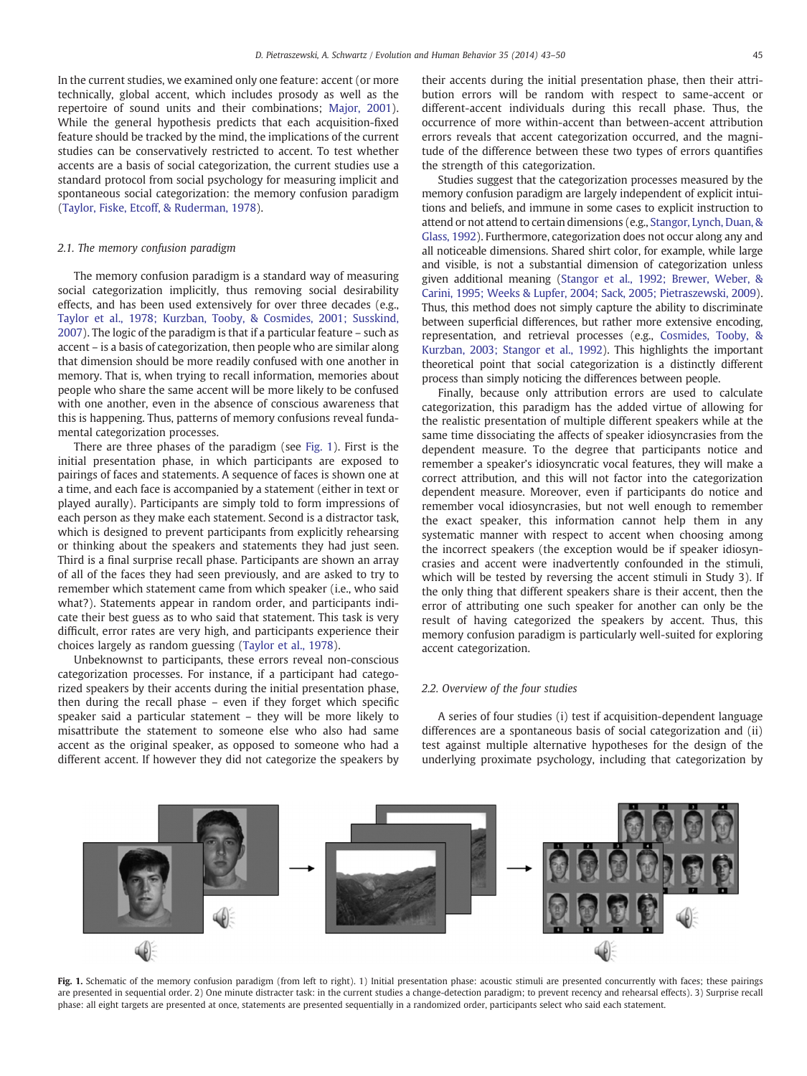<span id="page-2-0"></span>In the current studies, we examined only one feature: accent (or more technically, global accent, which includes prosody as well as the repertoire of sound units and their combinations; [Major, 2001](#page-7-0)). While the general hypothesis predicts that each acquisition-fixed feature should be tracked by the mind, the implications of the current studies can be conservatively restricted to accent. To test whether accents are a basis of social categorization, the current studies use a standard protocol from social psychology for measuring implicit and spontaneous social categorization: the memory confusion paradigm [\(Taylor, Fiske, Etcoff, & Ruderman, 1978\)](#page-7-0).

# 2.1. The memory confusion paradigm

The memory confusion paradigm is a standard way of measuring social categorization implicitly, thus removing social desirability effects, and has been used extensively for over three decades (e.g., [Taylor et al., 1978; Kurzban, Tooby, & Cosmides, 2001; Susskind,](#page-7-0) [2007\)](#page-7-0). The logic of the paradigm is that if a particular feature – such as accent – is a basis of categorization, then people who are similar along that dimension should be more readily confused with one another in memory. That is, when trying to recall information, memories about people who share the same accent will be more likely to be confused with one another, even in the absence of conscious awareness that this is happening. Thus, patterns of memory confusions reveal fundamental categorization processes.

There are three phases of the paradigm (see Fig. 1). First is the initial presentation phase, in which participants are exposed to pairings of faces and statements. A sequence of faces is shown one at a time, and each face is accompanied by a statement (either in text or played aurally). Participants are simply told to form impressions of each person as they make each statement. Second is a distractor task, which is designed to prevent participants from explicitly rehearsing or thinking about the speakers and statements they had just seen. Third is a final surprise recall phase. Participants are shown an array of all of the faces they had seen previously, and are asked to try to remember which statement came from which speaker (i.e., who said what?). Statements appear in random order, and participants indicate their best guess as to who said that statement. This task is very difficult, error rates are very high, and participants experience their choices largely as random guessing ([Taylor et al., 1978](#page-7-0)).

Unbeknownst to participants, these errors reveal non-conscious categorization processes. For instance, if a participant had categorized speakers by their accents during the initial presentation phase, then during the recall phase – even if they forget which specific speaker said a particular statement – they will be more likely to misattribute the statement to someone else who also had same accent as the original speaker, as opposed to someone who had a different accent. If however they did not categorize the speakers by their accents during the initial presentation phase, then their attribution errors will be random with respect to same-accent or different-accent individuals during this recall phase. Thus, the occurrence of more within-accent than between-accent attribution errors reveals that accent categorization occurred, and the magnitude of the difference between these two types of errors quantifies the strength of this categorization.

Studies suggest that the categorization processes measured by the memory confusion paradigm are largely independent of explicit intuitions and beliefs, and immune in some cases to explicit instruction to attend or not attend to certain dimensions (e.g., [Stangor, Lynch, Duan, &](#page-7-0) [Glass, 1992](#page-7-0)). Furthermore, categorization does not occur along any and all noticeable dimensions. Shared shirt color, for example, while large and visible, is not a substantial dimension of categorization unless given additional meaning [\(Stangor et al., 1992; Brewer, Weber, &](#page-7-0) [Carini, 1995; Weeks & Lupfer, 2004; Sack, 2005; Pietraszewski, 2009](#page-7-0)). Thus, this method does not simply capture the ability to discriminate between superficial differences, but rather more extensive encoding, representation, and retrieval processes (e.g., [Cosmides, Tooby, &](#page-7-0) [Kurzban, 2003; Stangor et al., 1992](#page-7-0)). This highlights the important theoretical point that social categorization is a distinctly different process than simply noticing the differences between people.

Finally, because only attribution errors are used to calculate categorization, this paradigm has the added virtue of allowing for the realistic presentation of multiple different speakers while at the same time dissociating the affects of speaker idiosyncrasies from the dependent measure. To the degree that participants notice and remember a speaker's idiosyncratic vocal features, they will make a correct attribution, and this will not factor into the categorization dependent measure. Moreover, even if participants do notice and remember vocal idiosyncrasies, but not well enough to remember the exact speaker, this information cannot help them in any systematic manner with respect to accent when choosing among the incorrect speakers (the exception would be if speaker idiosyncrasies and accent were inadvertently confounded in the stimuli, which will be tested by reversing the accent stimuli in Study 3). If the only thing that different speakers share is their accent, then the error of attributing one such speaker for another can only be the result of having categorized the speakers by accent. Thus, this memory confusion paradigm is particularly well-suited for exploring accent categorization.

# 2.2. Overview of the four studies

A series of four studies (i) test if acquisition-dependent language differences are a spontaneous basis of social categorization and (ii) test against multiple alternative hypotheses for the design of the underlying proximate psychology, including that categorization by



Fig. 1. Schematic of the memory confusion paradigm (from left to right). 1) Initial presentation phase: acoustic stimuli are presented concurrently with faces; these pairings are presented in sequential order. 2) One minute distracter task: in the current studies a change-detection paradigm; to prevent recency and rehearsal effects). 3) Surprise recall phase: all eight targets are presented at once, statements are presented sequentially in a randomized order, participants select who said each statement.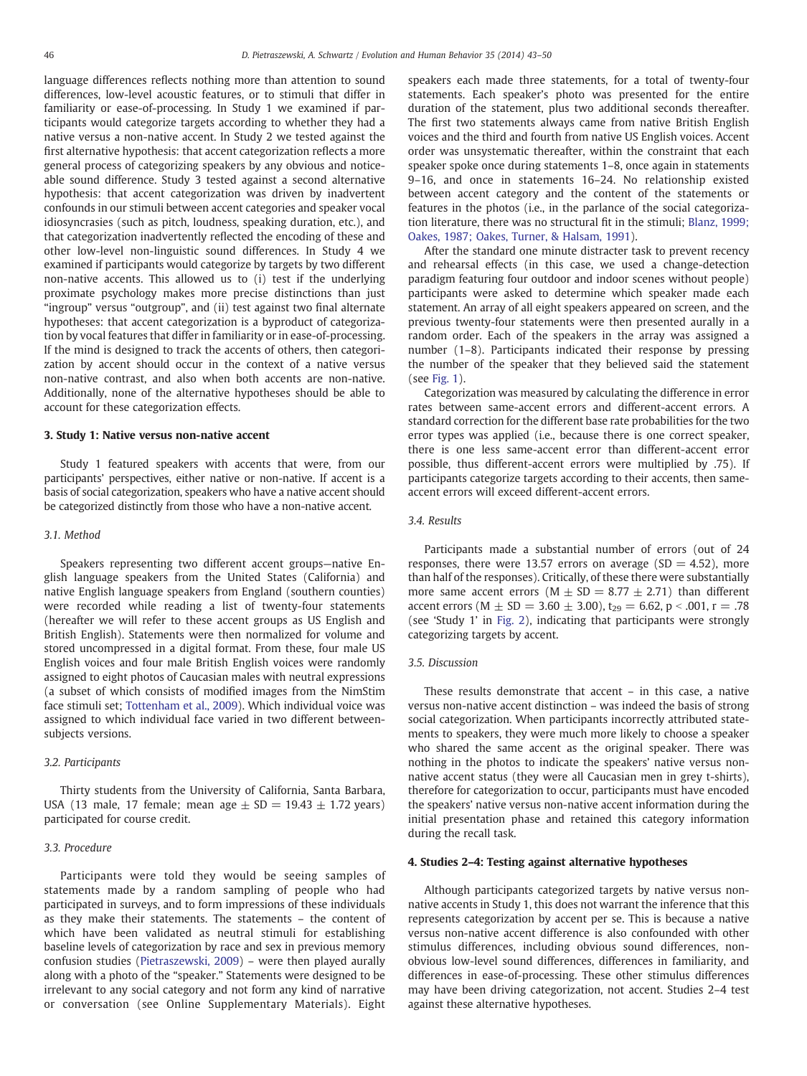language differences reflects nothing more than attention to sound differences, low-level acoustic features, or to stimuli that differ in familiarity or ease-of-processing. In Study 1 we examined if participants would categorize targets according to whether they had a native versus a non-native accent. In Study 2 we tested against the first alternative hypothesis: that accent categorization reflects a more general process of categorizing speakers by any obvious and noticeable sound difference. Study 3 tested against a second alternative hypothesis: that accent categorization was driven by inadvertent confounds in our stimuli between accent categories and speaker vocal idiosyncrasies (such as pitch, loudness, speaking duration, etc.), and that categorization inadvertently reflected the encoding of these and other low-level non-linguistic sound differences. In Study 4 we examined if participants would categorize by targets by two different non-native accents. This allowed us to (i) test if the underlying proximate psychology makes more precise distinctions than just "ingroup" versus "outgroup", and (ii) test against two final alternate hypotheses: that accent categorization is a byproduct of categorization by vocal features that differ in familiarity or in ease-of-processing. If the mind is designed to track the accents of others, then categorization by accent should occur in the context of a native versus non-native contrast, and also when both accents are non-native. Additionally, none of the alternative hypotheses should be able to account for these categorization effects.

#### 3. Study 1: Native versus non-native accent

Study 1 featured speakers with accents that were, from our participants' perspectives, either native or non-native. If accent is a basis of social categorization, speakers who have a native accent should be categorized distinctly from those who have a non-native accent.

# 3.1. Method

Speakers representing two different accent groups—native English language speakers from the United States (California) and native English language speakers from England (southern counties) were recorded while reading a list of twenty-four statements (hereafter we will refer to these accent groups as US English and British English). Statements were then normalized for volume and stored uncompressed in a digital format. From these, four male US English voices and four male British English voices were randomly assigned to eight photos of Caucasian males with neutral expressions (a subset of which consists of modified images from the NimStim face stimuli set; [Tottenham et al., 2009\)](#page-7-0). Which individual voice was assigned to which individual face varied in two different betweensubjects versions.

# 3.2. Participants

Thirty students from the University of California, Santa Barbara, USA (13 male, 17 female; mean age  $\pm$  SD = 19.43  $\pm$  1.72 years) participated for course credit.

# 3.3. Procedure

Participants were told they would be seeing samples of statements made by a random sampling of people who had participated in surveys, and to form impressions of these individuals as they make their statements. The statements – the content of which have been validated as neutral stimuli for establishing baseline levels of categorization by race and sex in previous memory confusion studies [\(Pietraszewski, 2009\)](#page-7-0) – were then played aurally along with a photo of the "speaker." Statements were designed to be irrelevant to any social category and not form any kind of narrative or conversation (see Online Supplementary Materials). Eight speakers each made three statements, for a total of twenty-four statements. Each speaker's photo was presented for the entire duration of the statement, plus two additional seconds thereafter. The first two statements always came from native British English voices and the third and fourth from native US English voices. Accent order was unsystematic thereafter, within the constraint that each speaker spoke once during statements 1–8, once again in statements 9–16, and once in statements 16–24. No relationship existed between accent category and the content of the statements or features in the photos (i.e., in the parlance of the social categorization literature, there was no structural fit in the stimuli; [Blanz, 1999;](#page-7-0) [Oakes, 1987; Oakes, Turner, & Halsam, 1991](#page-7-0)).

After the standard one minute distracter task to prevent recency and rehearsal effects (in this case, we used a change-detection paradigm featuring four outdoor and indoor scenes without people) participants were asked to determine which speaker made each statement. An array of all eight speakers appeared on screen, and the previous twenty-four statements were then presented aurally in a random order. Each of the speakers in the array was assigned a number (1–8). Participants indicated their response by pressing the number of the speaker that they believed said the statement (see [Fig. 1](#page-2-0)).

Categorization was measured by calculating the difference in error rates between same-accent errors and different-accent errors. A standard correction for the different base rate probabilities for the two error types was applied (i.e., because there is one correct speaker, there is one less same-accent error than different-accent error possible, thus different-accent errors were multiplied by .75). If participants categorize targets according to their accents, then sameaccent errors will exceed different-accent errors.

# 3.4. Results

Participants made a substantial number of errors (out of 24 responses, there were 13.57 errors on average ( $SD = 4.52$ ), more than half of the responses). Critically, of these there were substantially more same accent errors ( $M \pm SD = 8.77 \pm 2.71$ ) than different accent errors (M  $\pm$  SD = 3.60  $\pm$  3.00), t<sub>29</sub> = 6.62, p < .001, r = .78 (see 'Study 1' in [Fig. 2](#page-4-0)), indicating that participants were strongly categorizing targets by accent.

## 3.5. Discussion

These results demonstrate that accent – in this case, a native versus non-native accent distinction – was indeed the basis of strong social categorization. When participants incorrectly attributed statements to speakers, they were much more likely to choose a speaker who shared the same accent as the original speaker. There was nothing in the photos to indicate the speakers' native versus nonnative accent status (they were all Caucasian men in grey t-shirts), therefore for categorization to occur, participants must have encoded the speakers' native versus non-native accent information during the initial presentation phase and retained this category information during the recall task.

# 4. Studies 2–4: Testing against alternative hypotheses

Although participants categorized targets by native versus nonnative accents in Study 1, this does not warrant the inference that this represents categorization by accent per se. This is because a native versus non-native accent difference is also confounded with other stimulus differences, including obvious sound differences, nonobvious low-level sound differences, differences in familiarity, and differences in ease-of-processing. These other stimulus differences may have been driving categorization, not accent. Studies 2–4 test against these alternative hypotheses.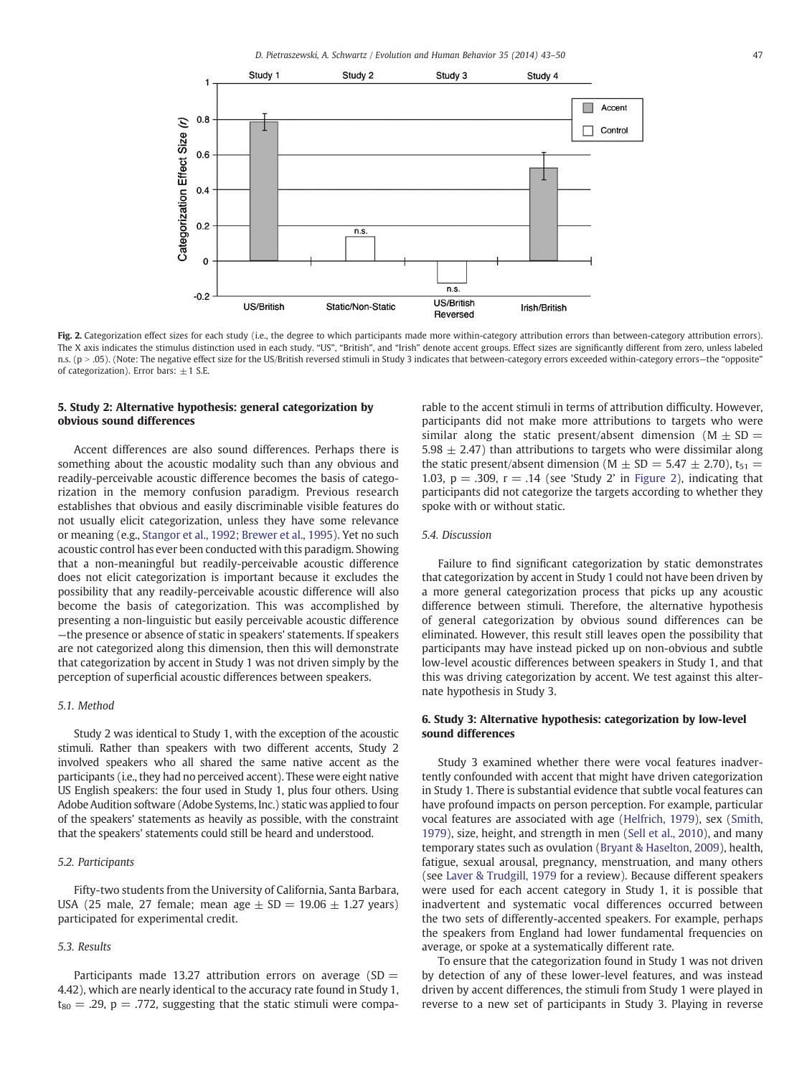<span id="page-4-0"></span>

Fig. 2. Categorization effect sizes for each study (i.e., the degree to which participants made more within-category attribution errors than between-category attribution errors). The X axis indicates the stimulus distinction used in each study. "US", "British", and "Irish" denote accent groups. Effect sizes are significantly different from zero, unless labeled n.s. (p > .05). (Note: The negative effect size for the US/British reversed stimuli in Study 3 indicates that between-category errors exceeded within-category errors—the "opposite" of categorization). Error bars:  $\pm$  1 S.E.

# 5. Study 2: Alternative hypothesis: general categorization by obvious sound differences

Accent differences are also sound differences. Perhaps there is something about the acoustic modality such than any obvious and readily-perceivable acoustic difference becomes the basis of categorization in the memory confusion paradigm. Previous research establishes that obvious and easily discriminable visible features do not usually elicit categorization, unless they have some relevance or meaning (e.g., [Stangor et al., 1992; Brewer et al., 1995\)](#page-7-0). Yet no such acoustic control has ever been conducted with this paradigm. Showing that a non-meaningful but readily-perceivable acoustic difference does not elicit categorization is important because it excludes the possibility that any readily-perceivable acoustic difference will also become the basis of categorization. This was accomplished by presenting a non-linguistic but easily perceivable acoustic difference —the presence or absence of static in speakers' statements. If speakers are not categorized along this dimension, then this will demonstrate that categorization by accent in Study 1 was not driven simply by the perception of superficial acoustic differences between speakers.

#### 5.1. Method

Study 2 was identical to Study 1, with the exception of the acoustic stimuli. Rather than speakers with two different accents, Study 2 involved speakers who all shared the same native accent as the participants (i.e., they had no perceived accent). These were eight native US English speakers: the four used in Study 1, plus four others. Using Adobe Audition software (Adobe Systems, Inc.) static was applied to four of the speakers' statements as heavily as possible, with the constraint that the speakers' statements could still be heard and understood.

# 5.2. Participants

Fifty-two students from the University of California, Santa Barbara, USA (25 male, 27 female; mean age  $\pm$  SD = 19.06  $\pm$  1.27 years) participated for experimental credit.

# 5.3. Results

Participants made 13.27 attribution errors on average  $SD =$ 4.42), which are nearly identical to the accuracy rate found in Study 1,  $t_{80} = .29$ ,  $p = .772$ , suggesting that the static stimuli were compa-

rable to the accent stimuli in terms of attribution difficulty. However, participants did not make more attributions to targets who were similar along the static present/absent dimension ( $M \pm SD =$ 5.98  $\pm$  2.47) than attributions to targets who were dissimilar along the static present/absent dimension (M  $\pm$  SD = 5.47  $\pm$  2.70), t<sub>51</sub> = 1.03,  $p = .309$ ,  $r = .14$  (see 'Study 2' in Figure 2), indicating that participants did not categorize the targets according to whether they spoke with or without static.

# 5.4. Discussion

Failure to find significant categorization by static demonstrates that categorization by accent in Study 1 could not have been driven by a more general categorization process that picks up any acoustic difference between stimuli. Therefore, the alternative hypothesis of general categorization by obvious sound differences can be eliminated. However, this result still leaves open the possibility that participants may have instead picked up on non-obvious and subtle low-level acoustic differences between speakers in Study 1, and that this was driving categorization by accent. We test against this alternate hypothesis in Study 3.

# 6. Study 3: Alternative hypothesis: categorization by low-level sound differences

Study 3 examined whether there were vocal features inadvertently confounded with accent that might have driven categorization in Study 1. There is substantial evidence that subtle vocal features can have profound impacts on person perception. For example, particular vocal features are associated with age [\(Helfrich, 1979](#page-7-0)), sex [\(Smith,](#page-7-0) [1979\)](#page-7-0), size, height, and strength in men [\(Sell et al., 2010\)](#page-7-0), and many temporary states such as ovulation ([Bryant & Haselton, 2009](#page-7-0)), health, fatigue, sexual arousal, pregnancy, menstruation, and many others (see [Laver & Trudgill, 1979](#page-7-0) for a review). Because different speakers were used for each accent category in Study 1, it is possible that inadvertent and systematic vocal differences occurred between the two sets of differently-accented speakers. For example, perhaps the speakers from England had lower fundamental frequencies on average, or spoke at a systematically different rate.

To ensure that the categorization found in Study 1 was not driven by detection of any of these lower-level features, and was instead driven by accent differences, the stimuli from Study 1 were played in reverse to a new set of participants in Study 3. Playing in reverse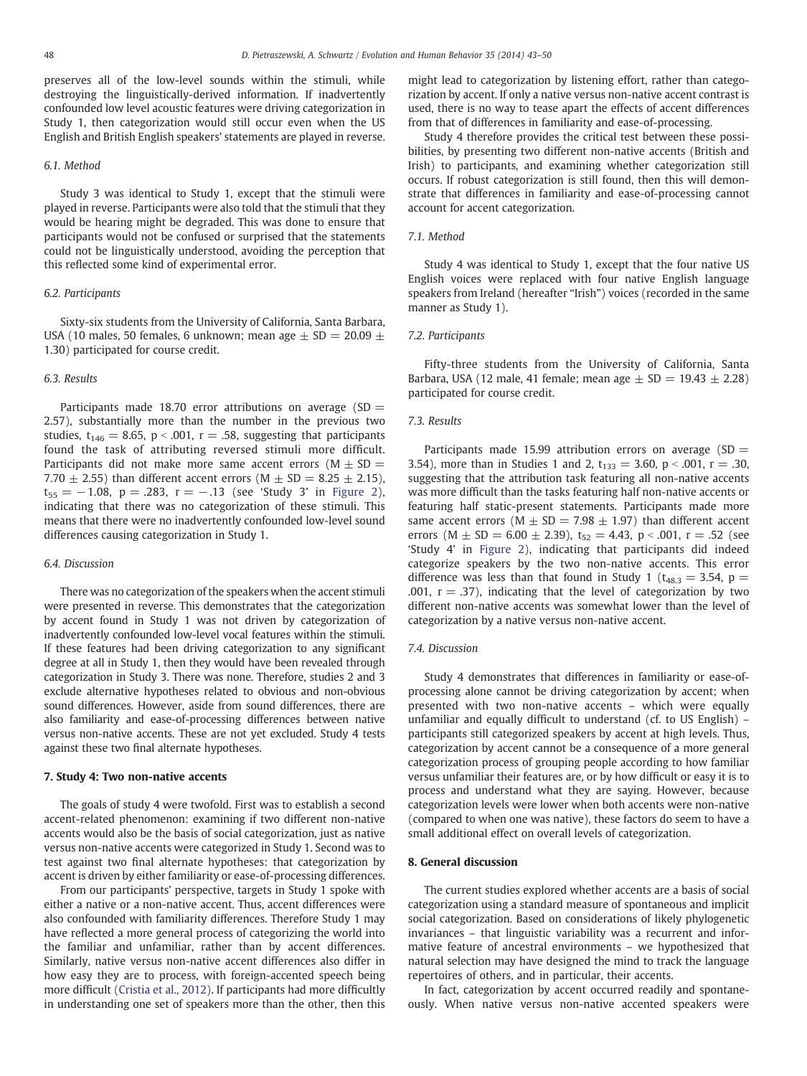preserves all of the low-level sounds within the stimuli, while destroying the linguistically-derived information. If inadvertently confounded low level acoustic features were driving categorization in Study 1, then categorization would still occur even when the US English and British English speakers' statements are played in reverse.

# 6.1. Method

Study 3 was identical to Study 1, except that the stimuli were played in reverse. Participants were also told that the stimuli that they would be hearing might be degraded. This was done to ensure that participants would not be confused or surprised that the statements could not be linguistically understood, avoiding the perception that this reflected some kind of experimental error.

# 6.2. Participants

Sixty-six students from the University of California, Santa Barbara, USA (10 males, 50 females, 6 unknown; mean age  $\pm$  SD = 20.09  $\pm$ 1.30) participated for course credit.

# 6.3. Results

Participants made 18.70 error attributions on average  $(SD =$ 2.57), substantially more than the number in the previous two studies,  $t_{146} = 8.65$ , p < .001, r = .58, suggesting that participants found the task of attributing reversed stimuli more difficult. Participants did not make more same accent errors ( $M \pm SD =$ 7.70  $\pm$  2.55) than different accent errors (M  $\pm$  SD = 8.25  $\pm$  2.15),  $t_{55} = -1.08$ , p = .283, r = -.13 (see 'Study 3' in [Figure 2](#page-4-0)), indicating that there was no categorization of these stimuli. This means that there were no inadvertently confounded low-level sound differences causing categorization in Study 1.

# 6.4. Discussion

There was no categorization of the speakers when the accent stimuli were presented in reverse. This demonstrates that the categorization by accent found in Study 1 was not driven by categorization of inadvertently confounded low-level vocal features within the stimuli. If these features had been driving categorization to any significant degree at all in Study 1, then they would have been revealed through categorization in Study 3. There was none. Therefore, studies 2 and 3 exclude alternative hypotheses related to obvious and non-obvious sound differences. However, aside from sound differences, there are also familiarity and ease-of-processing differences between native versus non-native accents. These are not yet excluded. Study 4 tests against these two final alternate hypotheses.

#### 7. Study 4: Two non-native accents

The goals of study 4 were twofold. First was to establish a second accent-related phenomenon: examining if two different non-native accents would also be the basis of social categorization, just as native versus non-native accents were categorized in Study 1. Second was to test against two final alternate hypotheses: that categorization by accent is driven by either familiarity or ease-of-processing differences.

From our participants' perspective, targets in Study 1 spoke with either a native or a non-native accent. Thus, accent differences were also confounded with familiarity differences. Therefore Study 1 may have reflected a more general process of categorizing the world into the familiar and unfamiliar, rather than by accent differences. Similarly, native versus non-native accent differences also differ in how easy they are to process, with foreign-accented speech being more difficult [\(Cristia et al., 2012](#page-7-0)). If participants had more difficultly in understanding one set of speakers more than the other, then this might lead to categorization by listening effort, rather than categorization by accent. If only a native versus non-native accent contrast is used, there is no way to tease apart the effects of accent differences from that of differences in familiarity and ease-of-processing.

Study 4 therefore provides the critical test between these possibilities, by presenting two different non-native accents (British and Irish) to participants, and examining whether categorization still occurs. If robust categorization is still found, then this will demonstrate that differences in familiarity and ease-of-processing cannot account for accent categorization.

# 7.1. Method

Study 4 was identical to Study 1, except that the four native US English voices were replaced with four native English language speakers from Ireland (hereafter "Irish") voices (recorded in the same manner as Study 1).

# 7.2. Participants

Fifty-three students from the University of California, Santa Barbara, USA (12 male, 41 female; mean age  $\pm$  SD = 19.43  $\pm$  2.28) participated for course credit.

# 7.3. Results

Participants made 15.99 attribution errors on average  $(SD =$ 3.54), more than in Studies 1 and 2,  $t_{133} = 3.60$ ,  $p < .001$ ,  $r = .30$ , suggesting that the attribution task featuring all non-native accents was more difficult than the tasks featuring half non-native accents or featuring half static-present statements. Participants made more same accent errors ( $M \pm SD = 7.98 \pm 1.97$ ) than different accent errors (M  $\pm$  SD = 6.00  $\pm$  2.39), t<sub>52</sub> = 4.43, p < .001, r = .52 (see 'Study 4' in [Figure 2](#page-4-0)), indicating that participants did indeed categorize speakers by the two non-native accents. This error difference was less than that found in Study 1 ( $t_{48,3} = 3.54$ ,  $p =$ .001,  $r = .37$ ), indicating that the level of categorization by two different non-native accents was somewhat lower than the level of categorization by a native versus non-native accent.

# 7.4. Discussion

Study 4 demonstrates that differences in familiarity or ease-ofprocessing alone cannot be driving categorization by accent; when presented with two non-native accents – which were equally unfamiliar and equally difficult to understand (cf. to US English) – participants still categorized speakers by accent at high levels. Thus, categorization by accent cannot be a consequence of a more general categorization process of grouping people according to how familiar versus unfamiliar their features are, or by how difficult or easy it is to process and understand what they are saying. However, because categorization levels were lower when both accents were non-native (compared to when one was native), these factors do seem to have a small additional effect on overall levels of categorization.

#### 8. General discussion

The current studies explored whether accents are a basis of social categorization using a standard measure of spontaneous and implicit social categorization. Based on considerations of likely phylogenetic invariances – that linguistic variability was a recurrent and informative feature of ancestral environments – we hypothesized that natural selection may have designed the mind to track the language repertoires of others, and in particular, their accents.

In fact, categorization by accent occurred readily and spontaneously. When native versus non-native accented speakers were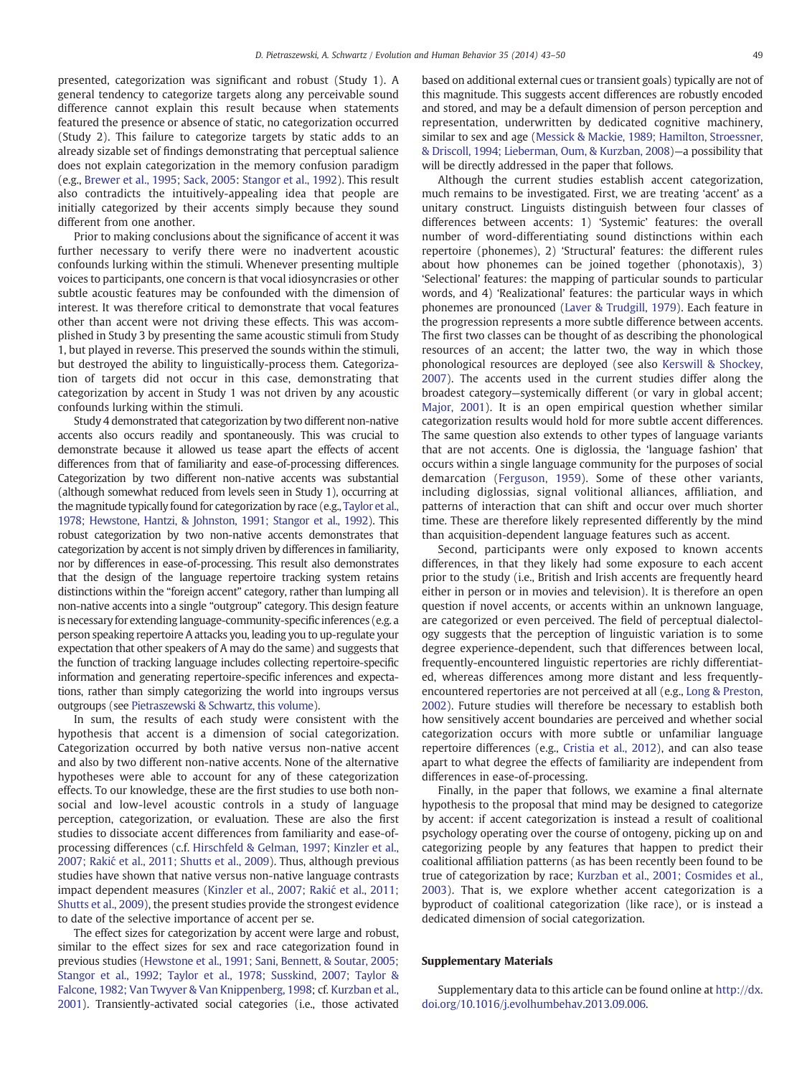presented, categorization was significant and robust (Study 1). A general tendency to categorize targets along any perceivable sound difference cannot explain this result because when statements featured the presence or absence of static, no categorization occurred (Study 2). This failure to categorize targets by static adds to an already sizable set of findings demonstrating that perceptual salience does not explain categorization in the memory confusion paradigm (e.g., [Brewer et al., 1995; Sack, 2005:](#page-7-0) [Stangor et al., 1992](#page-7-0)). This result also contradicts the intuitively-appealing idea that people are initially categorized by their accents simply because they sound different from one another.

Prior to making conclusions about the significance of accent it was further necessary to verify there were no inadvertent acoustic confounds lurking within the stimuli. Whenever presenting multiple voices to participants, one concern is that vocal idiosyncrasies or other subtle acoustic features may be confounded with the dimension of interest. It was therefore critical to demonstrate that vocal features other than accent were not driving these effects. This was accomplished in Study 3 by presenting the same acoustic stimuli from Study 1, but played in reverse. This preserved the sounds within the stimuli, but destroyed the ability to linguistically-process them. Categorization of targets did not occur in this case, demonstrating that categorization by accent in Study 1 was not driven by any acoustic confounds lurking within the stimuli.

Study 4 demonstrated that categorization by two different non-native accents also occurs readily and spontaneously. This was crucial to demonstrate because it allowed us tease apart the effects of accent differences from that of familiarity and ease-of-processing differences. Categorization by two different non-native accents was substantial (although somewhat reduced from levels seen in Study 1), occurring at the magnitude typically found for categorization by race (e.g., [Taylor et al.,](#page-7-0) [1978; Hewstone, Hantzi, & Johnston, 1991; Stangor et al., 1992\)](#page-7-0). This robust categorization by two non-native accents demonstrates that categorization by accent is not simply driven by differences in familiarity, nor by differences in ease-of-processing. This result also demonstrates that the design of the language repertoire tracking system retains distinctions within the "foreign accent" category, rather than lumping all non-native accents into a single "outgroup" category. This design feature is necessary for extending language-community-specific inferences (e.g. a person speaking repertoire A attacks you, leading you to up-regulate your expectation that other speakers of A may do the same) and suggests that the function of tracking language includes collecting repertoire-specific information and generating repertoire-specific inferences and expectations, rather than simply categorizing the world into ingroups versus outgroups (see [Pietraszewski & Schwartz, this volume\)](#page-7-0).

In sum, the results of each study were consistent with the hypothesis that accent is a dimension of social categorization. Categorization occurred by both native versus non-native accent and also by two different non-native accents. None of the alternative hypotheses were able to account for any of these categorization effects. To our knowledge, these are the first studies to use both nonsocial and low-level acoustic controls in a study of language perception, categorization, or evaluation. These are also the first studies to dissociate accent differences from familiarity and ease-ofprocessing differences (c.f. [Hirschfeld & Gelman, 1997; Kinzler et al.,](#page-7-0) 2007; Rakić [et al., 2011; Shutts et al., 2009](#page-7-0)). Thus, although previous studies have shown that native versus non-native language contrasts impact dependent measures ([Kinzler et al., 2007; Raki](#page-7-0)ć et al., 2011; [Shutts et al., 2009\)](#page-7-0), the present studies provide the strongest evidence to date of the selective importance of accent per se.

The effect sizes for categorization by accent were large and robust, similar to the effect sizes for sex and race categorization found in previous studies [\(Hewstone et al., 1991; Sani, Bennett, & Soutar, 2005;](#page-7-0) [Stangor et al., 1992; Taylor et al., 1978; Susskind, 2007; Taylor &](#page-7-0) [Falcone, 1982; Van Twyver & Van Knippenberg, 1998](#page-7-0); cf. [Kurzban et al.,](#page-7-0) [2001](#page-7-0)). Transiently-activated social categories (i.e., those activated

based on additional external cues or transient goals) typically are not of this magnitude. This suggests accent differences are robustly encoded and stored, and may be a default dimension of person perception and representation, underwritten by dedicated cognitive machinery, similar to sex and age [\(Messick & Mackie, 1989; Hamilton, Stroessner,](#page-7-0) [& Driscoll, 1994; Lieberman, Oum, & Kurzban, 2008\)](#page-7-0)—a possibility that will be directly addressed in the paper that follows.

Although the current studies establish accent categorization, much remains to be investigated. First, we are treating 'accent' as a unitary construct. Linguists distinguish between four classes of differences between accents: 1) 'Systemic' features: the overall number of word-differentiating sound distinctions within each repertoire (phonemes), 2) 'Structural' features: the different rules about how phonemes can be joined together (phonotaxis), 3) 'Selectional' features: the mapping of particular sounds to particular words, and 4) 'Realizational' features: the particular ways in which phonemes are pronounced ([Laver & Trudgill, 1979\)](#page-7-0). Each feature in the progression represents a more subtle difference between accents. The first two classes can be thought of as describing the phonological resources of an accent; the latter two, the way in which those phonological resources are deployed (see also [Kerswill & Shockey,](#page-7-0) [2007\)](#page-7-0). The accents used in the current studies differ along the broadest category—systemically different (or vary in global accent; [Major, 2001](#page-7-0)). It is an open empirical question whether similar categorization results would hold for more subtle accent differences. The same question also extends to other types of language variants that are not accents. One is diglossia, the 'language fashion' that occurs within a single language community for the purposes of social demarcation ([Ferguson, 1959\)](#page-7-0). Some of these other variants, including diglossias, signal volitional alliances, affiliation, and patterns of interaction that can shift and occur over much shorter time. These are therefore likely represented differently by the mind than acquisition-dependent language features such as accent.

Second, participants were only exposed to known accents differences, in that they likely had some exposure to each accent prior to the study (i.e., British and Irish accents are frequently heard either in person or in movies and television). It is therefore an open question if novel accents, or accents within an unknown language, are categorized or even perceived. The field of perceptual dialectology suggests that the perception of linguistic variation is to some degree experience-dependent, such that differences between local, frequently-encountered linguistic repertories are richly differentiated, whereas differences among more distant and less frequentlyencountered repertories are not perceived at all (e.g., [Long & Preston,](#page-7-0) [2002\)](#page-7-0). Future studies will therefore be necessary to establish both how sensitively accent boundaries are perceived and whether social categorization occurs with more subtle or unfamiliar language repertoire differences (e.g., [Cristia et al., 2012](#page-7-0)), and can also tease apart to what degree the effects of familiarity are independent from differences in ease-of-processing.

Finally, in the paper that follows, we examine a final alternate hypothesis to the proposal that mind may be designed to categorize by accent: if accent categorization is instead a result of coalitional psychology operating over the course of ontogeny, picking up on and categorizing people by any features that happen to predict their coalitional affiliation patterns (as has been recently been found to be true of categorization by race; [Kurzban et al., 2001; Cosmides et al.,](#page-7-0) [2003](#page-7-0)). That is, we explore whether accent categorization is a byproduct of coalitional categorization (like race), or is instead a dedicated dimension of social categorization.

# Supplementary Materials

Supplementary data to this article can be found online at [http://dx.](http://dx.doi.org/10.1016/j.evolhumbehav.2013.09.006) [doi.org/10.1016/j.evolhumbehav.2013.09.006](http://dx.doi.org/10.1016/j.evolhumbehav.2013.09.006).